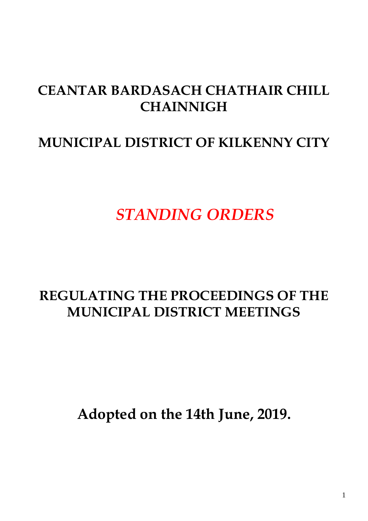# **CEANTAR BARDASACH CHATHAIR CHILL CHAINNIGH**

## **MUNICIPAL DISTRICT OF KILKENNY CITY**

*STANDING ORDERS*

# **REGULATING THE PROCEEDINGS OF THE MUNICIPAL DISTRICT MEETINGS**

**Adopted on the 14th June, 2019.**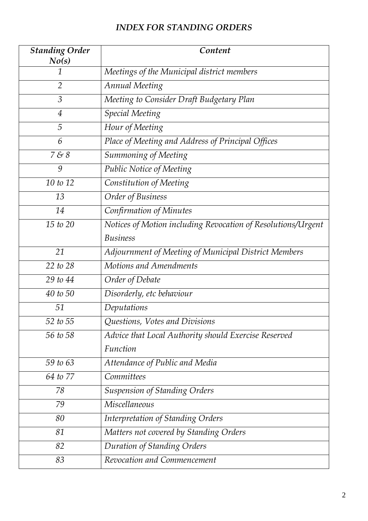## *INDEX FOR STANDING ORDERS*

| <b>Standing Order</b><br>No(s) | Content                                                      |
|--------------------------------|--------------------------------------------------------------|
| 1                              | Meetings of the Municipal district members                   |
| 2                              | <b>Annual Meeting</b>                                        |
| 3                              | Meeting to Consider Draft Budgetary Plan                     |
| $\overline{4}$                 | <b>Special Meeting</b>                                       |
| 5                              | Hour of Meeting                                              |
| 6                              | Place of Meeting and Address of Principal Offices            |
| 788                            | Summoning of Meeting                                         |
| 9                              | Public Notice of Meeting                                     |
| 10 to 12                       | Constitution of Meeting                                      |
| 13                             | Order of Business                                            |
| 14                             | Confirmation of Minutes                                      |
| 15 to 20                       | Notices of Motion including Revocation of Resolutions/Urgent |
|                                | <b>Business</b>                                              |
| 21                             | Adjournment of Meeting of Municipal District Members         |
| 22 to 28                       | Motions and Amendments                                       |
| 29 to 44                       | Order of Debate                                              |
| 40 to 50                       | Disorderly, etc behaviour                                    |
| 51                             | Deputations                                                  |
| 52 to 55                       | Questions, Votes and Divisions                               |
| 56 to 58                       | Advice that Local Authority should Exercise Reserved         |
|                                | Function                                                     |
| 59 to 63                       | Attendance of Public and Media                               |
| 64 to 77                       | Committees                                                   |
| 78                             | <b>Suspension of Standing Orders</b>                         |
| 79                             | <b>Miscellaneous</b>                                         |
| 80                             | <b>Interpretation of Standing Orders</b>                     |
| 81                             | Matters not covered by Standing Orders                       |
| 82                             | Duration of Standing Orders                                  |
| 83                             | Revocation and Commencement                                  |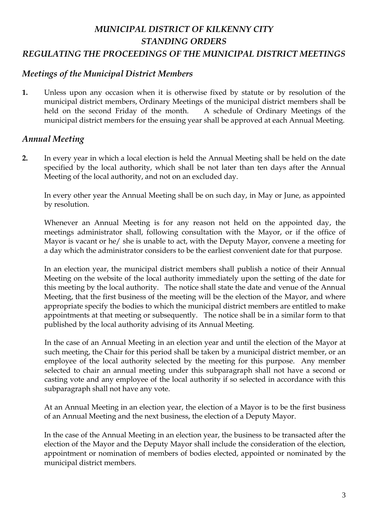## *MUNICIPAL DISTRICT OF KILKENNY CITY STANDING ORDERS REGULATING THE PROCEEDINGS OF THE MUNICIPAL DISTRICT MEETINGS*

#### *Meetings of the Municipal District Members*

**1.** Unless upon any occasion when it is otherwise fixed by statute or by resolution of the municipal district members, Ordinary Meetings of the municipal district members shall be held on the second Friday of the month. A schedule of Ordinary Meetings of the municipal district members for the ensuing year shall be approved at each Annual Meeting.

#### *Annual Meeting*

**2.** In every year in which a local election is held the Annual Meeting shall be held on the date specified by the local authority, which shall be not later than ten days after the Annual Meeting of the local authority, and not on an excluded day.

In every other year the Annual Meeting shall be on such day, in May or June, as appointed by resolution.

Whenever an Annual Meeting is for any reason not held on the appointed day, the meetings administrator shall, following consultation with the Mayor, or if the office of Mayor is vacant or he/ she is unable to act, with the Deputy Mayor, convene a meeting for a day which the administrator considers to be the earliest convenient date for that purpose.

In an election year, the municipal district members shall publish a notice of their Annual Meeting on the website of the local authority immediately upon the setting of the date for this meeting by the local authority. The notice shall state the date and venue of the Annual Meeting, that the first business of the meeting will be the election of the Mayor, and where appropriate specify the bodies to which the municipal district members are entitled to make appointments at that meeting or subsequently. The notice shall be in a similar form to that published by the local authority advising of its Annual Meeting.

In the case of an Annual Meeting in an election year and until the election of the Mayor at such meeting, the Chair for this period shall be taken by a municipal district member, or an employee of the local authority selected by the meeting for this purpose. Any member selected to chair an annual meeting under this subparagraph shall not have a second or casting vote and any employee of the local authority if so selected in accordance with this subparagraph shall not have any vote.

At an Annual Meeting in an election year, the election of a Mayor is to be the first business of an Annual Meeting and the next business, the election of a Deputy Mayor.

In the case of the Annual Meeting in an election year, the business to be transacted after the election of the Mayor and the Deputy Mayor shall include the consideration of the election, appointment or nomination of members of bodies elected, appointed or nominated by the municipal district members.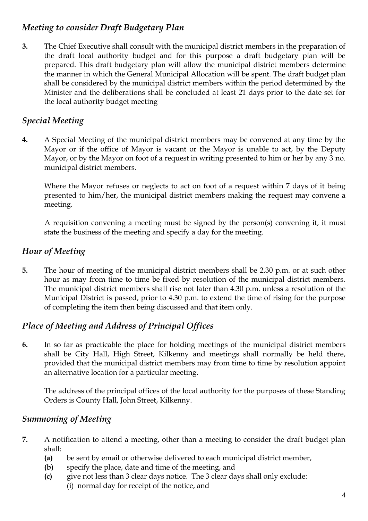## *Meeting to consider Draft Budgetary Plan*

**3.** The Chief Executive shall consult with the municipal district members in the preparation of the draft local authority budget and for this purpose a draft budgetary plan will be prepared. This draft budgetary plan will allow the municipal district members determine the manner in which the General Municipal Allocation will be spent. The draft budget plan shall be considered by the municipal district members within the period determined by the Minister and the deliberations shall be concluded at least 21 days prior to the date set for the local authority budget meeting

## *Special Meeting*

**4.** A Special Meeting of the municipal district members may be convened at any time by the Mayor or if the office of Mayor is vacant or the Mayor is unable to act, by the Deputy Mayor, or by the Mayor on foot of a request in writing presented to him or her by any 3 no. municipal district members.

Where the Mayor refuses or neglects to act on foot of a request within 7 days of it being presented to him/her, the municipal district members making the request may convene a meeting.

 A requisition convening a meeting must be signed by the person(s) convening it, it must state the business of the meeting and specify a day for the meeting.

## *Hour of Meeting*

**5.** The hour of meeting of the municipal district members shall be 2.30 p.m. or at such other hour as may from time to time be fixed by resolution of the municipal district members. The municipal district members shall rise not later than 4.30 p.m. unless a resolution of the Municipal District is passed, prior to 4.30 p.m. to extend the time of rising for the purpose of completing the item then being discussed and that item only.

## *Place of Meeting and Address of Principal Offices*

**6.** In so far as practicable the place for holding meetings of the municipal district members shall be City Hall, High Street, Kilkenny and meetings shall normally be held there, provided that the municipal district members may from time to time by resolution appoint an alternative location for a particular meeting.

The address of the principal offices of the local authority for the purposes of these Standing Orders is County Hall, John Street, Kilkenny.

## *Summoning of Meeting*

- **7.** A notification to attend a meeting, other than a meeting to consider the draft budget plan shall:
	- **(a)** be sent by email or otherwise delivered to each municipal district member,
	- **(b)** specify the place, date and time of the meeting, and
	- **(c)** give not less than 3 clear days notice. The 3 clear days shall only exclude: (i) normal day for receipt of the notice, and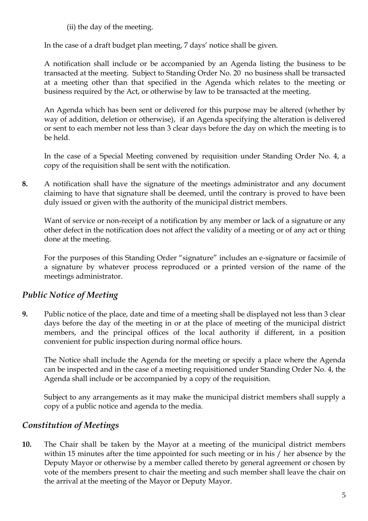(ii) the day of the meeting.

In the case of a draft budget plan meeting, 7 days' notice shall be given.

A notification shall include or be accompanied by an Agenda listing the business to be transacted at the meeting. Subject to Standing Order No. 20 no business shall be transacted at a meeting other than that specified in the Agenda which relates to the meeting or business required by the Act, or otherwise by law to be transacted at the meeting.

An Agenda which has been sent or delivered for this purpose may be altered (whether by way of addition, deletion or otherwise), if an Agenda specifying the alteration is delivered or sent to each member not less than 3 clear days before the day on which the meeting is to be held.

In the case of a Special Meeting convened by requisition under Standing Order No. 4, a copy of the requisition shall be sent with the notification.

**8.** A notification shall have the signature of the meetings administrator and any document claiming to have that signature shall be deemed, until the contrary is proved to have been duly issued or given with the authority of the municipal district members.

Want of service or non-receipt of a notification by any member or lack of a signature or any other defect in the notification does not affect the validity of a meeting or of any act or thing done at the meeting.

For the purposes of this Standing Order "signature" includes an e-signature or facsimile of a signature by whatever process reproduced or a printed version of the name of the meetings administrator.

## *Public Notice of Meeting*

**9.** Public notice of the place, date and time of a meeting shall be displayed not less than 3 clear days before the day of the meeting in or at the place of meeting of the municipal district members, and the principal offices of the local authority if different, in a position convenient for public inspection during normal office hours.

The Notice shall include the Agenda for the meeting or specify a place where the Agenda can be inspected and in the case of a meeting requisitioned under Standing Order No. 4, the Agenda shall include or be accompanied by a copy of the requisition.

Subject to any arrangements as it may make the municipal district members shall supply a copy of a public notice and agenda to the media.

## *Constitution of Meetings*

**10.** The Chair shall be taken by the Mayor at a meeting of the municipal district members within 15 minutes after the time appointed for such meeting or in his / her absence by the Deputy Mayor or otherwise by a member called thereto by general agreement or chosen by vote of the members present to chair the meeting and such member shall leave the chair on the arrival at the meeting of the Mayor or Deputy Mayor.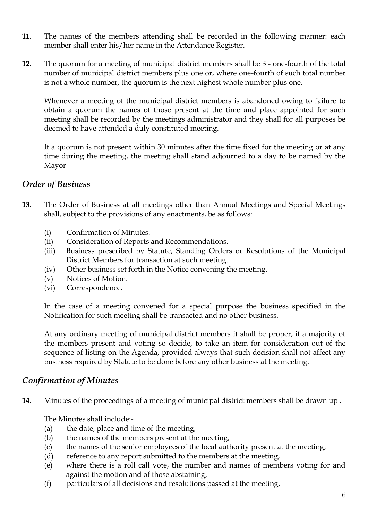- **11**. The names of the members attending shall be recorded in the following manner: each member shall enter his/her name in the Attendance Register.
- **12.** The quorum for a meeting of municipal district members shall be 3 one-fourth of the total number of municipal district members plus one or, where one-fourth of such total number is not a whole number, the quorum is the next highest whole number plus one.

Whenever a meeting of the municipal district members is abandoned owing to failure to obtain a quorum the names of those present at the time and place appointed for such meeting shall be recorded by the meetings administrator and they shall for all purposes be deemed to have attended a duly constituted meeting.

If a quorum is not present within 30 minutes after the time fixed for the meeting or at any time during the meeting, the meeting shall stand adjourned to a day to be named by the Mayor

#### *Order of Business*

- **13.** The Order of Business at all meetings other than Annual Meetings and Special Meetings shall, subject to the provisions of any enactments, be as follows:
	- (i) Confirmation of Minutes.
	- (ii) Consideration of Reports and Recommendations.
	- (iii) Business prescribed by Statute, Standing Orders or Resolutions of the Municipal District Members for transaction at such meeting.
	- (iv) Other business set forth in the Notice convening the meeting.
	- (v) Notices of Motion.
	- (vi) Correspondence.

In the case of a meeting convened for a special purpose the business specified in the Notification for such meeting shall be transacted and no other business.

At any ordinary meeting of municipal district members it shall be proper, if a majority of the members present and voting so decide, to take an item for consideration out of the sequence of listing on the Agenda, provided always that such decision shall not affect any business required by Statute to be done before any other business at the meeting.

#### *Confirmation of Minutes*

**14.** Minutes of the proceedings of a meeting of municipal district members shall be drawn up .

The Minutes shall include:-

- (a) the date, place and time of the meeting,
- (b) the names of the members present at the meeting,
- (c) the names of the senior employees of the local authority present at the meeting,
- (d) reference to any report submitted to the members at the meeting,
- (e) where there is a roll call vote, the number and names of members voting for and against the motion and of those abstaining,
- (f) particulars of all decisions and resolutions passed at the meeting,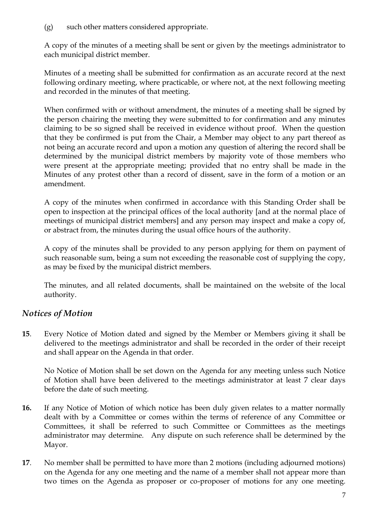(g) such other matters considered appropriate.

A copy of the minutes of a meeting shall be sent or given by the meetings administrator to each municipal district member.

Minutes of a meeting shall be submitted for confirmation as an accurate record at the next following ordinary meeting, where practicable, or where not, at the next following meeting and recorded in the minutes of that meeting.

When confirmed with or without amendment, the minutes of a meeting shall be signed by the person chairing the meeting they were submitted to for confirmation and any minutes claiming to be so signed shall be received in evidence without proof. When the question that they be confirmed is put from the Chair, a Member may object to any part thereof as not being an accurate record and upon a motion any question of altering the record shall be determined by the municipal district members by majority vote of those members who were present at the appropriate meeting; provided that no entry shall be made in the Minutes of any protest other than a record of dissent, save in the form of a motion or an amendment.

A copy of the minutes when confirmed in accordance with this Standing Order shall be open to inspection at the principal offices of the local authority [and at the normal place of meetings of municipal district members] and any person may inspect and make a copy of, or abstract from, the minutes during the usual office hours of the authority.

A copy of the minutes shall be provided to any person applying for them on payment of such reasonable sum, being a sum not exceeding the reasonable cost of supplying the copy, as may be fixed by the municipal district members.

The minutes, and all related documents, shall be maintained on the website of the local authority.

## *Notices of Motion*

**15**. Every Notice of Motion dated and signed by the Member or Members giving it shall be delivered to the meetings administrator and shall be recorded in the order of their receipt and shall appear on the Agenda in that order.

No Notice of Motion shall be set down on the Agenda for any meeting unless such Notice of Motion shall have been delivered to the meetings administrator at least 7 clear days before the date of such meeting.

- **16.** If any Notice of Motion of which notice has been duly given relates to a matter normally dealt with by a Committee or comes within the terms of reference of any Committee or Committees, it shall be referred to such Committee or Committees as the meetings administrator may determine. Any dispute on such reference shall be determined by the Mayor.
- **17**. No member shall be permitted to have more than 2 motions (including adjourned motions) on the Agenda for any one meeting and the name of a member shall not appear more than two times on the Agenda as proposer or co-proposer of motions for any one meeting.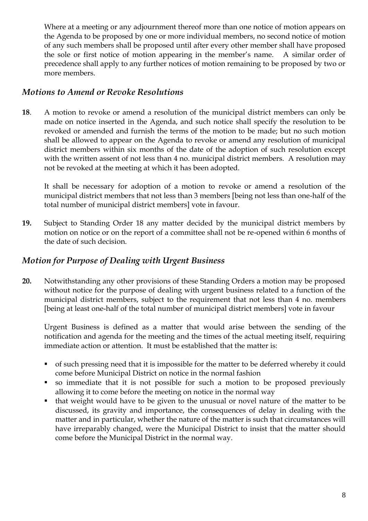Where at a meeting or any adjournment thereof more than one notice of motion appears on the Agenda to be proposed by one or more individual members, no second notice of motion of any such members shall be proposed until after every other member shall have proposed the sole or first notice of motion appearing in the member's name. A similar order of precedence shall apply to any further notices of motion remaining to be proposed by two or more members.

#### *Motions to Amend or Revoke Resolutions*

**18**. A motion to revoke or amend a resolution of the municipal district members can only be made on notice inserted in the Agenda, and such notice shall specify the resolution to be revoked or amended and furnish the terms of the motion to be made; but no such motion shall be allowed to appear on the Agenda to revoke or amend any resolution of municipal district members within six months of the date of the adoption of such resolution except with the written assent of not less than 4 no. municipal district members. A resolution may not be revoked at the meeting at which it has been adopted.

It shall be necessary for adoption of a motion to revoke or amend a resolution of the municipal district members that not less than 3 members [being not less than one-half of the total number of municipal district members] vote in favour.

**19.** Subject to Standing Order 18 any matter decided by the municipal district members by motion on notice or on the report of a committee shall not be re-opened within 6 months of the date of such decision.

#### *Motion for Purpose of Dealing with Urgent Business*

**20.** Notwithstanding any other provisions of these Standing Orders a motion may be proposed without notice for the purpose of dealing with urgent business related to a function of the municipal district members, subject to the requirement that not less than 4 no. members [being at least one-half of the total number of municipal district members] vote in favour

Urgent Business is defined as a matter that would arise between the sending of the notification and agenda for the meeting and the times of the actual meeting itself, requiring immediate action or attention. It must be established that the matter is:

- of such pressing need that it is impossible for the matter to be deferred whereby it could come before Municipal District on notice in the normal fashion
- so immediate that it is not possible for such a motion to be proposed previously allowing it to come before the meeting on notice in the normal way
- that weight would have to be given to the unusual or novel nature of the matter to be discussed, its gravity and importance, the consequences of delay in dealing with the matter and in particular, whether the nature of the matter is such that circumstances will have irreparably changed, were the Municipal District to insist that the matter should come before the Municipal District in the normal way.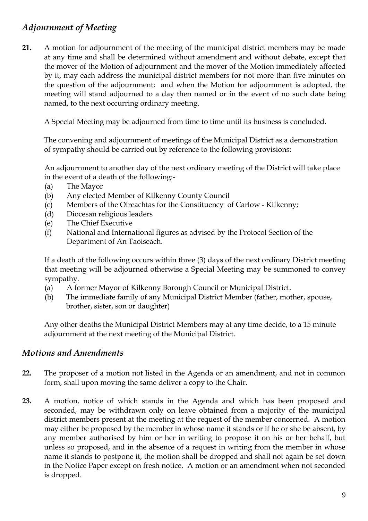## *Adjournment of Meeting*

**21.** A motion for adjournment of the meeting of the municipal district members may be made at any time and shall be determined without amendment and without debate, except that the mover of the Motion of adjournment and the mover of the Motion immediately affected by it, may each address the municipal district members for not more than five minutes on the question of the adjournment; and when the Motion for adjournment is adopted, the meeting will stand adjourned to a day then named or in the event of no such date being named, to the next occurring ordinary meeting.

A Special Meeting may be adjourned from time to time until its business is concluded.

 The convening and adjournment of meetings of the Municipal District as a demonstration of sympathy should be carried out by reference to the following provisions:

An adjournment to another day of the next ordinary meeting of the District will take place in the event of a death of the following:-

- (a) The Mayor
- (b) Any elected Member of Kilkenny County Council
- (c) Members of the Oireachtas for the Constituency of Carlow Kilkenny;
- (d) Diocesan religious leaders
- (e) The Chief Executive
- (f) National and International figures as advised by the Protocol Section of the Department of An Taoiseach.

If a death of the following occurs within three (3) days of the next ordinary District meeting that meeting will be adjourned otherwise a Special Meeting may be summoned to convey sympathy.

- (a) A former Mayor of Kilkenny Borough Council or Municipal District.
- (b) The immediate family of any Municipal District Member (father, mother, spouse, brother, sister, son or daughter)

Any other deaths the Municipal District Members may at any time decide, to a 15 minute adjournment at the next meeting of the Municipal District.

#### *Motions and Amendments*

- **22.** The proposer of a motion not listed in the Agenda or an amendment, and not in common form, shall upon moving the same deliver a copy to the Chair.
- **23.** A motion, notice of which stands in the Agenda and which has been proposed and seconded, may be withdrawn only on leave obtained from a majority of the municipal district members present at the meeting at the request of the member concerned. A motion may either be proposed by the member in whose name it stands or if he or she be absent, by any member authorised by him or her in writing to propose it on his or her behalf, but unless so proposed, and in the absence of a request in writing from the member in whose name it stands to postpone it, the motion shall be dropped and shall not again be set down in the Notice Paper except on fresh notice. A motion or an amendment when not seconded is dropped.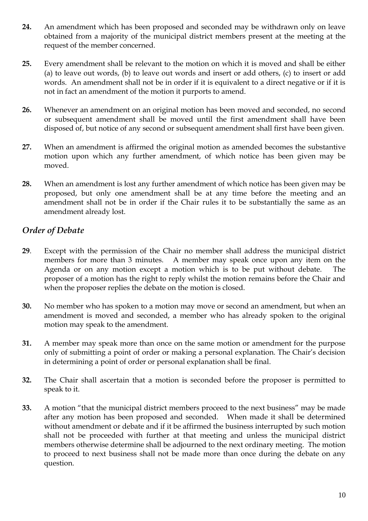- **24.** An amendment which has been proposed and seconded may be withdrawn only on leave obtained from a majority of the municipal district members present at the meeting at the request of the member concerned.
- **25.** Every amendment shall be relevant to the motion on which it is moved and shall be either (a) to leave out words, (b) to leave out words and insert or add others, (c) to insert or add words. An amendment shall not be in order if it is equivalent to a direct negative or if it is not in fact an amendment of the motion it purports to amend.
- **26.** Whenever an amendment on an original motion has been moved and seconded, no second or subsequent amendment shall be moved until the first amendment shall have been disposed of, but notice of any second or subsequent amendment shall first have been given.
- **27.** When an amendment is affirmed the original motion as amended becomes the substantive motion upon which any further amendment, of which notice has been given may be moved.
- **28.** When an amendment is lost any further amendment of which notice has been given may be proposed, but only one amendment shall be at any time before the meeting and an amendment shall not be in order if the Chair rules it to be substantially the same as an amendment already lost.

## *Order of Debate*

- **29**. Except with the permission of the Chair no member shall address the municipal district members for more than 3 minutes. A member may speak once upon any item on the Agenda or on any motion except a motion which is to be put without debate. The proposer of a motion has the right to reply whilst the motion remains before the Chair and when the proposer replies the debate on the motion is closed.
- **30.** No member who has spoken to a motion may move or second an amendment, but when an amendment is moved and seconded, a member who has already spoken to the original motion may speak to the amendment.
- **31.** A member may speak more than once on the same motion or amendment for the purpose only of submitting a point of order or making a personal explanation. The Chair's decision in determining a point of order or personal explanation shall be final.
- **32.** The Chair shall ascertain that a motion is seconded before the proposer is permitted to speak to it.
- **33.** A motion "that the municipal district members proceed to the next business" may be made after any motion has been proposed and seconded. When made it shall be determined without amendment or debate and if it be affirmed the business interrupted by such motion shall not be proceeded with further at that meeting and unless the municipal district members otherwise determine shall be adjourned to the next ordinary meeting. The motion to proceed to next business shall not be made more than once during the debate on any question.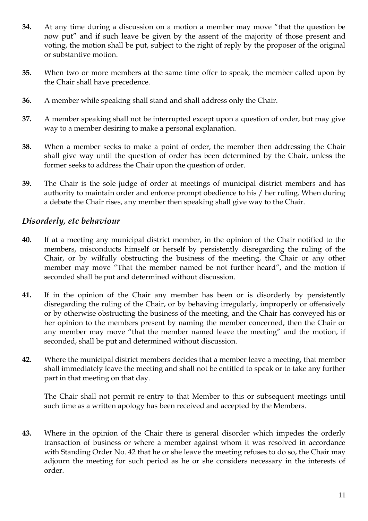- **34.** At any time during a discussion on a motion a member may move "that the question be now put" and if such leave be given by the assent of the majority of those present and voting, the motion shall be put, subject to the right of reply by the proposer of the original or substantive motion.
- **35.** When two or more members at the same time offer to speak, the member called upon by the Chair shall have precedence.
- **36.** A member while speaking shall stand and shall address only the Chair.
- **37.** A member speaking shall not be interrupted except upon a question of order, but may give way to a member desiring to make a personal explanation.
- **38.** When a member seeks to make a point of order, the member then addressing the Chair shall give way until the question of order has been determined by the Chair, unless the former seeks to address the Chair upon the question of order.
- **39.** The Chair is the sole judge of order at meetings of municipal district members and has authority to maintain order and enforce prompt obedience to his / her ruling. When during a debate the Chair rises, any member then speaking shall give way to the Chair.

#### *Disorderly, etc behaviour*

- **40.** If at a meeting any municipal district member, in the opinion of the Chair notified to the members, misconducts himself or herself by persistently disregarding the ruling of the Chair, or by wilfully obstructing the business of the meeting, the Chair or any other member may move "That the member named be not further heard", and the motion if seconded shall be put and determined without discussion.
- **41.** If in the opinion of the Chair any member has been or is disorderly by persistently disregarding the ruling of the Chair, or by behaving irregularly, improperly or offensively or by otherwise obstructing the business of the meeting, and the Chair has conveyed his or her opinion to the members present by naming the member concerned, then the Chair or any member may move "that the member named leave the meeting" and the motion, if seconded, shall be put and determined without discussion.
- **42.** Where the municipal district members decides that a member leave a meeting, that member shall immediately leave the meeting and shall not be entitled to speak or to take any further part in that meeting on that day.

The Chair shall not permit re-entry to that Member to this or subsequent meetings until such time as a written apology has been received and accepted by the Members.

**43.** Where in the opinion of the Chair there is general disorder which impedes the orderly transaction of business or where a member against whom it was resolved in accordance with Standing Order No. 42 that he or she leave the meeting refuses to do so, the Chair may adjourn the meeting for such period as he or she considers necessary in the interests of order.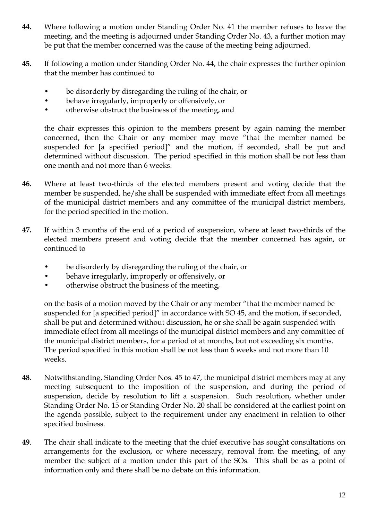- **44.** Where following a motion under Standing Order No. 41 the member refuses to leave the meeting, and the meeting is adjourned under Standing Order No. 43, a further motion may be put that the member concerned was the cause of the meeting being adjourned.
- **45.** If following a motion under Standing Order No. 44, the chair expresses the further opinion that the member has continued to
	- be disorderly by disregarding the ruling of the chair, or
	- behave irregularly, improperly or offensively, or
	- otherwise obstruct the business of the meeting, and

the chair expresses this opinion to the members present by again naming the member concerned, then the Chair or any member may move "that the member named be suspended for [a specified period]" and the motion, if seconded, shall be put and determined without discussion. The period specified in this motion shall be not less than one month and not more than 6 weeks.

- **46.** Where at least two-thirds of the elected members present and voting decide that the member be suspended, he/she shall be suspended with immediate effect from all meetings of the municipal district members and any committee of the municipal district members, for the period specified in the motion.
- **47.** If within 3 months of the end of a period of suspension, where at least two-thirds of the elected members present and voting decide that the member concerned has again, or continued to
	- be disorderly by disregarding the ruling of the chair, or
	- behave irregularly, improperly or offensively, or
	- otherwise obstruct the business of the meeting,

on the basis of a motion moved by the Chair or any member "that the member named be suspended for [a specified period]" in accordance with SO 45, and the motion, if seconded, shall be put and determined without discussion, he or she shall be again suspended with immediate effect from all meetings of the municipal district members and any committee of the municipal district members, for a period of at months, but not exceeding six months. The period specified in this motion shall be not less than 6 weeks and not more than 10 weeks.

- **48**. Notwithstanding, Standing Order Nos. 45 to 47, the municipal district members may at any meeting subsequent to the imposition of the suspension, and during the period of suspension, decide by resolution to lift a suspension. Such resolution, whether under Standing Order No. 15 or Standing Order No. 20 shall be considered at the earliest point on the agenda possible, subject to the requirement under any enactment in relation to other specified business.
- **49**. The chair shall indicate to the meeting that the chief executive has sought consultations on arrangements for the exclusion, or where necessary, removal from the meeting, of any member the subject of a motion under this part of the SOs. This shall be as a point of information only and there shall be no debate on this information.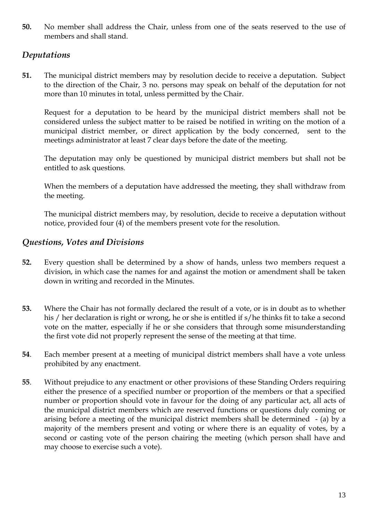**50.** No member shall address the Chair, unless from one of the seats reserved to the use of members and shall stand.

#### *Deputations*

**51.** The municipal district members may by resolution decide to receive a deputation. Subject to the direction of the Chair, 3 no. persons may speak on behalf of the deputation for not more than 10 minutes in total, unless permitted by the Chair.

Request for a deputation to be heard by the municipal district members shall not be considered unless the subject matter to be raised be notified in writing on the motion of a municipal district member, or direct application by the body concerned, sent to the meetings administrator at least 7 clear days before the date of the meeting.

The deputation may only be questioned by municipal district members but shall not be entitled to ask questions.

When the members of a deputation have addressed the meeting, they shall withdraw from the meeting.

The municipal district members may, by resolution, decide to receive a deputation without notice, provided four (4) of the members present vote for the resolution.

#### *Questions, Votes and Divisions*

- **52.** Every question shall be determined by a show of hands, unless two members request a division, in which case the names for and against the motion or amendment shall be taken down in writing and recorded in the Minutes.
- **53.** Where the Chair has not formally declared the result of a vote, or is in doubt as to whether his / her declaration is right or wrong, he or she is entitled if s/he thinks fit to take a second vote on the matter, especially if he or she considers that through some misunderstanding the first vote did not properly represent the sense of the meeting at that time.
- **54**. Each member present at a meeting of municipal district members shall have a vote unless prohibited by any enactment.
- **55**. Without prejudice to any enactment or other provisions of these Standing Orders requiring either the presence of a specified number or proportion of the members or that a specified number or proportion should vote in favour for the doing of any particular act, all acts of the municipal district members which are reserved functions or questions duly coming or arising before a meeting of the municipal district members shall be determined - (a) by a majority of the members present and voting or where there is an equality of votes, by a second or casting vote of the person chairing the meeting (which person shall have and may choose to exercise such a vote).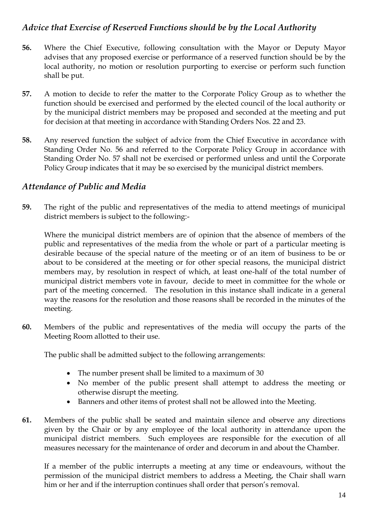#### *Advice that Exercise of Reserved Functions should be by the Local Authority*

- **56.** Where the Chief Executive, following consultation with the Mayor or Deputy Mayor advises that any proposed exercise or performance of a reserved function should be by the local authority, no motion or resolution purporting to exercise or perform such function shall be put.
- **57.** A motion to decide to refer the matter to the Corporate Policy Group as to whether the function should be exercised and performed by the elected council of the local authority or by the municipal district members may be proposed and seconded at the meeting and put for decision at that meeting in accordance with Standing Orders Nos. 22 and 23.
- **58.** Any reserved function the subject of advice from the Chief Executive in accordance with Standing Order No. 56 and referred to the Corporate Policy Group in accordance with Standing Order No. 57 shall not be exercised or performed unless and until the Corporate Policy Group indicates that it may be so exercised by the municipal district members.

#### *Attendance of Public and Media*

**59.** The right of the public and representatives of the media to attend meetings of municipal district members is subject to the following:-

Where the municipal district members are of opinion that the absence of members of the public and representatives of the media from the whole or part of a particular meeting is desirable because of the special nature of the meeting or of an item of business to be or about to be considered at the meeting or for other special reasons, the municipal district members may, by resolution in respect of which, at least one-half of the total number of municipal district members vote in favour, decide to meet in committee for the whole or part of the meeting concerned. The resolution in this instance shall indicate in a general way the reasons for the resolution and those reasons shall be recorded in the minutes of the meeting.

**60.** Members of the public and representatives of the media will occupy the parts of the Meeting Room allotted to their use.

The public shall be admitted subject to the following arrangements:

- The number present shall be limited to a maximum of 30
- No member of the public present shall attempt to address the meeting or otherwise disrupt the meeting.
- Banners and other items of protest shall not be allowed into the Meeting.
- **61.** Members of the public shall be seated and maintain silence and observe any directions given by the Chair or by any employee of the local authority in attendance upon the municipal district members. Such employees are responsible for the execution of all measures necessary for the maintenance of order and decorum in and about the Chamber.

If a member of the public interrupts a meeting at any time or endeavours, without the permission of the municipal district members to address a Meeting, the Chair shall warn him or her and if the interruption continues shall order that person's removal.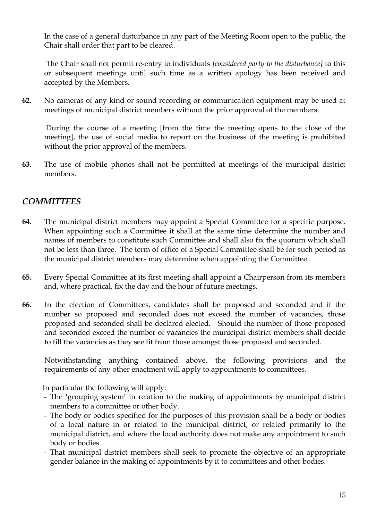In the case of a general disturbance in any part of the Meeting Room open to the public, the Chair shall order that part to be cleared.

The Chair shall not permit re-entry to individuals *[considered party to the disturbance]* to this or subsequent meetings until such time as a written apology has been received and accepted by the Members.

**62.** No cameras of any kind or sound recording or communication equipment may be used at meetings of municipal district members without the prior approval of the members.

During the course of a meeting [from the time the meeting opens to the close of the meeting], the use of social media to report on the business of the meeting is prohibited without the prior approval of the members.

**63.** The use of mobile phones shall not be permitted at meetings of the municipal district members.

#### *COMMITTEES*

- **64.** The municipal district members may appoint a Special Committee for a specific purpose. When appointing such a Committee it shall at the same time determine the number and names of members to constitute such Committee and shall also fix the quorum which shall not be less than three. The term of office of a Special Committee shall be for such period as the municipal district members may determine when appointing the Committee.
- **65.** Every Special Committee at its first meeting shall appoint a Chairperson from its members and, where practical, fix the day and the hour of future meetings.
- **66.** In the election of Committees, candidates shall be proposed and seconded and if the number so proposed and seconded does not exceed the number of vacancies, those proposed and seconded shall be declared elected. Should the number of those proposed and seconded exceed the number of vacancies the municipal district members shall decide to fill the vacancies as they see fit from those amongst those proposed and seconded.

Notwithstanding anything contained above, the following provisions and the requirements of any other enactment will apply to appointments to committees.

In particular the following will apply:

- The **'**grouping system' in relation to the making of appointments by municipal district members to a committee or other body.
- The body or bodies specified for the purposes of this provision shall be a body or bodies of a local nature in or related to the municipal district, or related primarily to the municipal district, and where the local authority does not make any appointment to such body or bodies.
- That municipal district members shall seek to promote the objective of an appropriate gender balance in the making of appointments by it to committees and other bodies.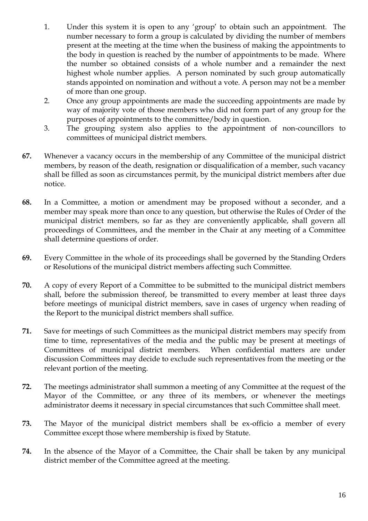- 1. Under this system it is open to any 'group' to obtain such an appointment. The number necessary to form a group is calculated by dividing the number of members present at the meeting at the time when the business of making the appointments to the body in question is reached by the number of appointments to be made. Where the number so obtained consists of a whole number and a remainder the next highest whole number applies. A person nominated by such group automatically stands appointed on nomination and without a vote. A person may not be a member of more than one group.
- 2. Once any group appointments are made the succeeding appointments are made by way of majority vote of those members who did not form part of any group for the purposes of appointments to the committee/body in question.
- 3. The grouping system also applies to the appointment of non-councillors to committees of municipal district members.
- **67.** Whenever a vacancy occurs in the membership of any Committee of the municipal district members, by reason of the death, resignation or disqualification of a member, such vacancy shall be filled as soon as circumstances permit, by the municipal district members after due notice.
- **68.** In a Committee, a motion or amendment may be proposed without a seconder, and a member may speak more than once to any question, but otherwise the Rules of Order of the municipal district members, so far as they are conveniently applicable, shall govern all proceedings of Committees, and the member in the Chair at any meeting of a Committee shall determine questions of order.
- **69.** Every Committee in the whole of its proceedings shall be governed by the Standing Orders or Resolutions of the municipal district members affecting such Committee.
- **70.** A copy of every Report of a Committee to be submitted to the municipal district members shall, before the submission thereof, be transmitted to every member at least three days before meetings of municipal district members, save in cases of urgency when reading of the Report to the municipal district members shall suffice.
- **71.** Save for meetings of such Committees as the municipal district members may specify from time to time, representatives of the media and the public may be present at meetings of Committees of municipal district members. When confidential matters are under discussion Committees may decide to exclude such representatives from the meeting or the relevant portion of the meeting.
- **72.** The meetings administrator shall summon a meeting of any Committee at the request of the Mayor of the Committee, or any three of its members, or whenever the meetings administrator deems it necessary in special circumstances that such Committee shall meet.
- **73.** The Mayor of the municipal district members shall be ex-officio a member of every Committee except those where membership is fixed by Statute.
- **74.** In the absence of the Mayor of a Committee, the Chair shall be taken by any municipal district member of the Committee agreed at the meeting.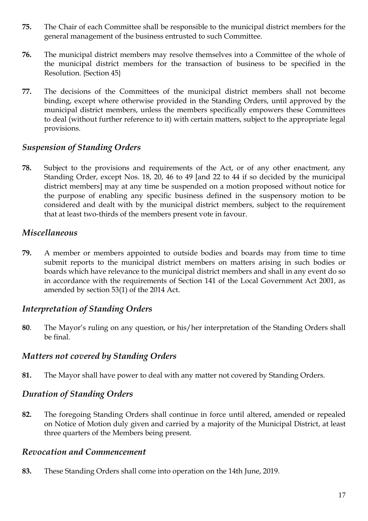- **75.** The Chair of each Committee shall be responsible to the municipal district members for the general management of the business entrusted to such Committee.
- **76.** The municipal district members may resolve themselves into a Committee of the whole of the municipal district members for the transaction of business to be specified in the Resolution. {Section 45}
- **77.** The decisions of the Committees of the municipal district members shall not become binding, except where otherwise provided in the Standing Orders, until approved by the municipal district members, unless the members specifically empowers these Committees to deal (without further reference to it) with certain matters, subject to the appropriate legal provisions.

#### *Suspension of Standing Orders*

**78.** Subject to the provisions and requirements of the Act, or of any other enactment, any Standing Order, except Nos. 18, 20, 46 to 49 [and 22 to 44 if so decided by the municipal district members] may at any time be suspended on a motion proposed without notice for the purpose of enabling any specific business defined in the suspensory motion to be considered and dealt with by the municipal district members, subject to the requirement that at least two-thirds of the members present vote in favour.

#### *Miscellaneous*

**79.** A member or members appointed to outside bodies and boards may from time to time submit reports to the municipal district members on matters arising in such bodies or boards which have relevance to the municipal district members and shall in any event do so in accordance with the requirements of Section 141 of the Local Government Act 2001, as amended by section 53(1) of the 2014 Act.

#### *Interpretation of Standing Orders*

**80**. The Mayor's ruling on any question, or his/her interpretation of the Standing Orders shall be final.

#### *Matters not covered by Standing Orders*

**81.** The Mayor shall have power to deal with any matter not covered by Standing Orders.

#### *Duration of Standing Orders*

**82.** The foregoing Standing Orders shall continue in force until altered, amended or repealed on Notice of Motion duly given and carried by a majority of the Municipal District, at least three quarters of the Members being present.

#### *Revocation and Commencement*

**83.** These Standing Orders shall come into operation on the 14th June, 2019.